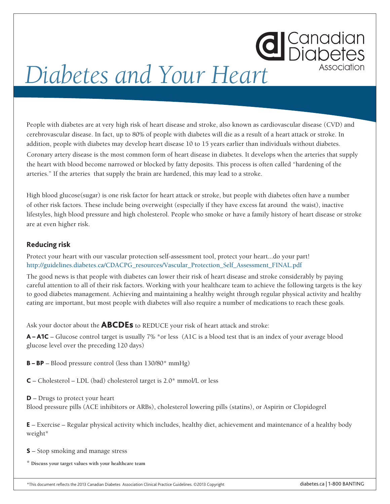## **d** Canadian *Diabetes and Your Heart*

People with diabetes are at very high risk of heart disease and stroke, also known as cardiovascular disease (CVD) and cerebrovascular disease. In fact, up to 80% of people with diabetes will die as a result of a heart attack or stroke. In addition, people with diabetes may develop heart disease 10 to 15 years earlier than individuals without diabetes. Coronary artery disease is the most common form of heart disease in diabetes. It develops when the arteries that supply the heart with blood become narrowed or blocked by fatty deposits. This process is often called "hardening of the arteries." If the arteries that supply the brain are hardened, this may lead to a stroke.

High blood glucose(sugar) is one risk factor for heart attack or stroke, but people with diabetes often have a number of other risk factors. These include being overweight (especially if they have excess fat around the waist), inactive lifestyles, high blood pressure and high cholesterol. People who smoke or have a family history of heart disease or stroke are at even higher risk.

## **Reducing risk**

Protect your heart with our vascular protection self-assessment tool, protect your heart...do your part! http://guidelines.diabetes.ca/CDACPG\_resources/Vascular\_Protection\_Self\_Assessment\_FINAL.pdf

The good news is that people with diabetes can lower their risk of heart disease and stroke considerably by paying careful attention to all of their risk factors. Working with your healthcare team to achieve the following targets is the key to good diabetes management. Achieving and maintaining a healthy weight through regular physical activity and healthy eating are important, but most people with diabetes will also require a number of medications to reach these goals.

Ask your doctor about the **ABCDEs** to REDUCE your risk of heart attack and stroke:

A – A1C – Glucose control target is usually 7% \*or less (A1C is a blood test that is an index of your average blood glucose level over the preceding 120 days)

**B – BP** – Blood pressure control (less than  $130/80^*$  mmHg)

 $C$  – Cholesterol – LDL (bad) cholesterol target is 2.0\* mmol/L or less

D – Drugs to protect your heart Blood pressure pills (ACE inhibitors or ARBs), cholesterol lowering pills (statins), or Aspirin or Clopidogrel

E – Exercise – Regular physical activity which includes, healthy diet, achievement and maintenance of a healthy body weight\*

S – Stop smoking and manage stress

\* **Discuss your target values with your healthcare team**